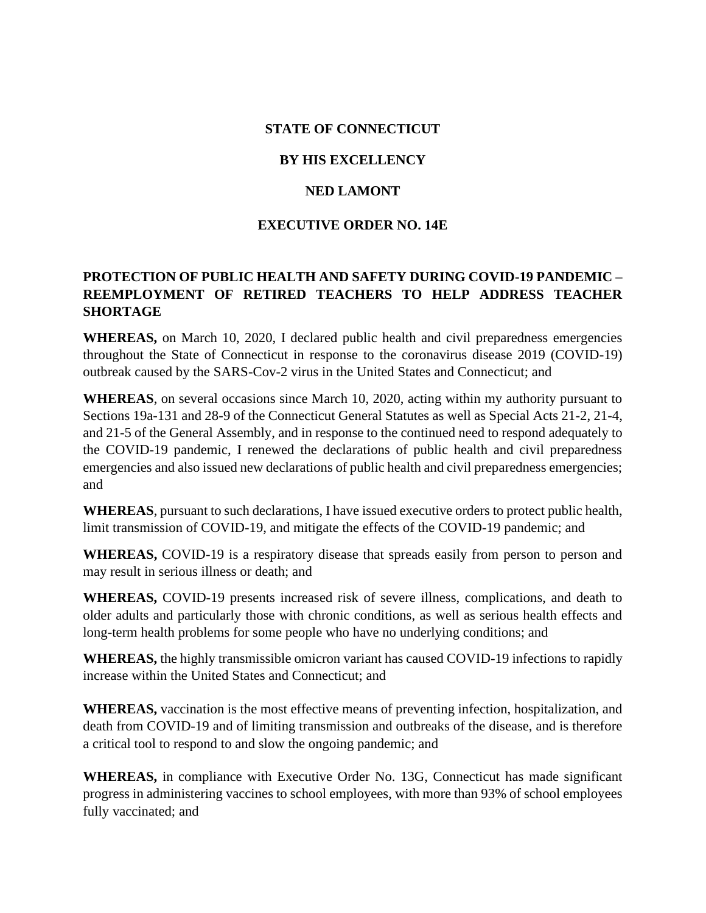### **STATE OF CONNECTICUT**

### **BY HIS EXCELLENCY**

## **NED LAMONT**

### **EXECUTIVE ORDER NO. 14E**

# **PROTECTION OF PUBLIC HEALTH AND SAFETY DURING COVID-19 PANDEMIC – REEMPLOYMENT OF RETIRED TEACHERS TO HELP ADDRESS TEACHER SHORTAGE**

**WHEREAS,** on March 10, 2020, I declared public health and civil preparedness emergencies throughout the State of Connecticut in response to the coronavirus disease 2019 (COVID-19) outbreak caused by the SARS-Cov-2 virus in the United States and Connecticut; and

**WHEREAS**, on several occasions since March 10, 2020, acting within my authority pursuant to Sections 19a-131 and 28-9 of the Connecticut General Statutes as well as Special Acts 21-2, 21-4, and 21-5 of the General Assembly, and in response to the continued need to respond adequately to the COVID-19 pandemic, I renewed the declarations of public health and civil preparedness emergencies and also issued new declarations of public health and civil preparedness emergencies; and

**WHEREAS**, pursuant to such declarations, I have issued executive orders to protect public health, limit transmission of COVID-19, and mitigate the effects of the COVID-19 pandemic; and

**WHEREAS,** COVID-19 is a respiratory disease that spreads easily from person to person and may result in serious illness or death; and

**WHEREAS,** COVID-19 presents increased risk of severe illness, complications, and death to older adults and particularly those with chronic conditions, as well as serious health effects and long-term health problems for some people who have no underlying conditions; and

**WHEREAS,** the highly transmissible omicron variant has caused COVID-19 infections to rapidly increase within the United States and Connecticut; and

**WHEREAS,** vaccination is the most effective means of preventing infection, hospitalization, and death from COVID-19 and of limiting transmission and outbreaks of the disease, and is therefore a critical tool to respond to and slow the ongoing pandemic; and

**WHEREAS,** in compliance with Executive Order No. 13G, Connecticut has made significant progress in administering vaccines to school employees, with more than 93% of school employees fully vaccinated; and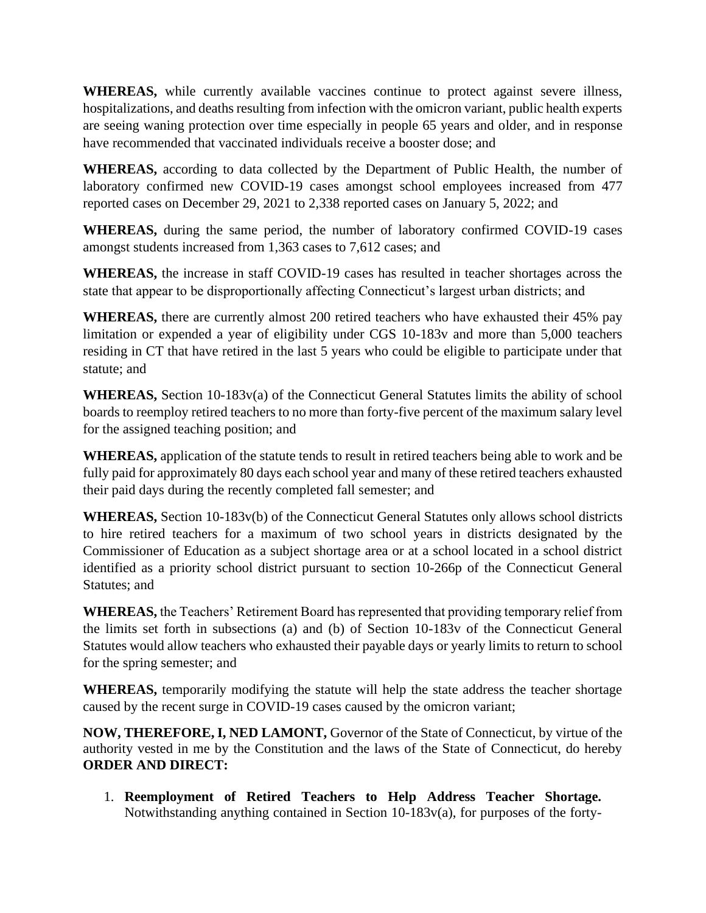**WHEREAS,** while currently available vaccines continue to protect against severe illness, hospitalizations, and deaths resulting from infection with the omicron variant, public health experts are seeing waning protection over time especially in people 65 years and older, and in response have recommended that vaccinated individuals receive a booster dose; and

**WHEREAS,** according to data collected by the Department of Public Health, the number of laboratory confirmed new COVID-19 cases amongst school employees increased from 477 reported cases on December 29, 2021 to 2,338 reported cases on January 5, 2022; and

**WHEREAS,** during the same period, the number of laboratory confirmed COVID-19 cases amongst students increased from 1,363 cases to 7,612 cases; and

**WHEREAS,** the increase in staff COVID-19 cases has resulted in teacher shortages across the state that appear to be disproportionally affecting Connecticut's largest urban districts; and

**WHEREAS,** there are currently almost 200 retired teachers who have exhausted their 45% pay limitation or expended a year of eligibility under CGS 10-183v and more than 5,000 teachers residing in CT that have retired in the last 5 years who could be eligible to participate under that statute; and

**WHEREAS,** Section 10-183v(a) of the Connecticut General Statutes limits the ability of school boards to reemploy retired teachers to no more than forty-five percent of the maximum salary level for the assigned teaching position; and

**WHEREAS,** application of the statute tends to result in retired teachers being able to work and be fully paid for approximately 80 days each school year and many of these retired teachers exhausted their paid days during the recently completed fall semester; and

**WHEREAS,** Section 10-183v(b) of the Connecticut General Statutes only allows school districts to hire retired teachers for a maximum of two school years in districts designated by the Commissioner of Education as a subject shortage area or at a school located in a school district identified as a priority school district pursuant to section 10-266p of the Connecticut General Statutes; and

**WHEREAS,** the Teachers' Retirement Board has represented that providing temporary relief from the limits set forth in subsections (a) and (b) of Section 10-183v of the Connecticut General Statutes would allow teachers who exhausted their payable days or yearly limits to return to school for the spring semester; and

**WHEREAS,** temporarily modifying the statute will help the state address the teacher shortage caused by the recent surge in COVID-19 cases caused by the omicron variant;

**NOW, THEREFORE, I, NED LAMONT,** Governor of the State of Connecticut, by virtue of the authority vested in me by the Constitution and the laws of the State of Connecticut, do hereby **ORDER AND DIRECT:**

1. **Reemployment of Retired Teachers to Help Address Teacher Shortage.**  Notwithstanding anything contained in Section 10-183v(a), for purposes of the forty